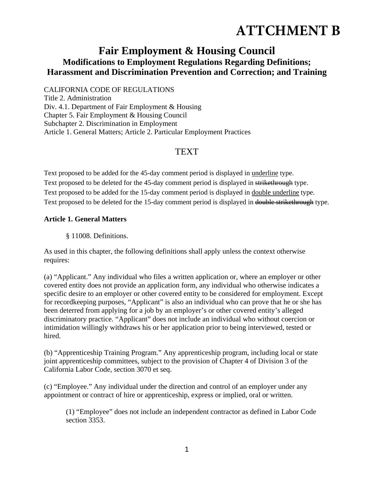# **ATTCHMENT B**

## **Fair Employment & Housing Council Modifications to Employment Regulations Regarding Definitions; Harassment and Discrimination Prevention and Correction; and Training**

CALIFORNIA CODE OF REGULATIONS

Title 2. Administration Div. 4.1. Department of Fair Employment & Housing Chapter 5. Fair Employment & Housing Council Subchapter 2. Discrimination in Employment Article 1. General Matters; Article 2. Particular Employment Practices

## **TEXT**

Text proposed to be added for the 45-day comment period is displayed in underline type. Text proposed to be deleted for the 45-day comment period is displayed in strikethrough type. Text proposed to be added for the 15-day comment period is displayed in double underline type. Text proposed to be deleted for the 15-day comment period is displayed in double strikethrough type.

### **Article 1. General Matters**

§ 11008. Definitions.

As used in this chapter, the following definitions shall apply unless the context otherwise requires:

(a) "Applicant." Any individual who files a written application or, where an employer or other covered entity does not provide an application form, any individual who otherwise indicates a specific desire to an employer or other covered entity to be considered for employment. Except for recordkeeping purposes, "Applicant" is also an individual who can prove that he or she has been deterred from applying for a job by an employer's or other covered entity's alleged discriminatory practice. "Applicant" does not include an individual who without coercion or intimidation willingly withdraws his or her application prior to being interviewed, tested or hired.

(b) "Apprenticeship Training Program." Any apprenticeship program, including local or state joint apprenticeship committees, subject to the provision of Chapter 4 of Division 3 of the California Labor Code, section 3070 et seq.

(c) "Employee." Any individual under the direction and control of an employer under any appointment or contract of hire or apprenticeship, express or implied, oral or written.

(1) "Employee" does not include an independent contractor as defined in Labor Code section 3353.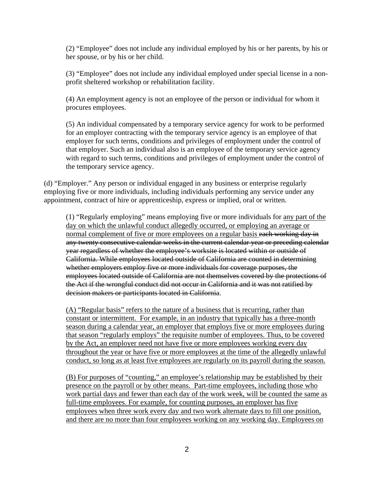(2) "Employee" does not include any individual employed by his or her parents, by his or her spouse, or by his or her child.

(3) "Employee" does not include any individual employed under special license in a nonprofit sheltered workshop or rehabilitation facility.

(4) An employment agency is not an employee of the person or individual for whom it procures employees.

(5) An individual compensated by a temporary service agency for work to be performed for an employer contracting with the temporary service agency is an employee of that employer for such terms, conditions and privileges of employment under the control of that employer. Such an individual also is an employee of the temporary service agency with regard to such terms, conditions and privileges of employment under the control of the temporary service agency.

(d) "Employer." Any person or individual engaged in any business or enterprise regularly employing five or more individuals, including individuals performing any service under any appointment, contract of hire or apprenticeship, express or implied, oral or written.

(1) "Regularly employing" means employing five or more individuals for any part of the day on which the unlawful conduct allegedly occurred, or employing an average or normal complement of five or more employees on a regular basis each working day in any twenty consecutive calendar weeks in the current calendar year or preceding calendar year regardless of whether the employee's worksite is located within or outside of California. While employees located outside of California are counted in determining whether employers employ five or more individuals for coverage purposes, the employees located outside of California are not themselves covered by the protections of the Act if the wrongful conduct did not occur in California and it was not ratified by decision makers or participants located in California.

(A) "Regular basis" refers to the nature of a business that is recurring, rather than constant or intermittent. For example, in an industry that typically has a three-month season during a calendar year, an employer that employs five or more employees during that season "regularly employs" the requisite number of employees. Thus, to be covered by the Act, an employer need not have five or more employees working every day throughout the year or have five or more employees at the time of the allegedly unlawful conduct, so long as at least five employees are regularly on its payroll during the season.

(B) For purposes of "counting," an employee's relationship may be established by their presence on the payroll or by other means. Part-time employees, including those who work partial days and fewer than each day of the work week, will be counted the same as full-time employees. For example, for counting purposes, an employer has five employees when three work every day and two work alternate days to fill one position, and there are no more than four employees working on any working day. Employees on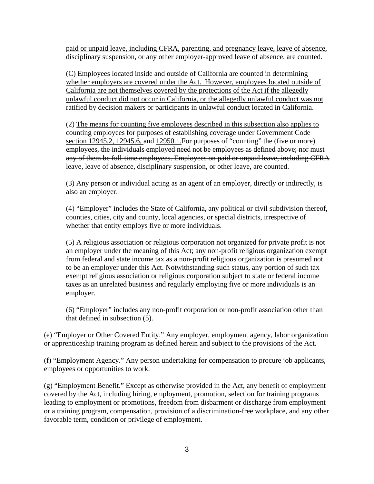paid or unpaid leave, including CFRA, parenting, and pregnancy leave, leave of absence, disciplinary suspension, or any other employer-approved leave of absence, are counted.

(C) Employees located inside and outside of California are counted in determining whether employers are covered under the Act. However, employees located outside of California are not themselves covered by the protections of the Act if the allegedly unlawful conduct did not occur in California, or the allegedly unlawful conduct was not ratified by decision makers or participants in unlawful conduct located in California.

(2) The means for counting five employees described in this subsection also applies to counting employees for purposes of establishing coverage under Government Code section 12945.2, 12945.6, and 12950.1. For purposes of "counting" the (five or more) employees, the individuals employed need not be employees as defined above; nor must any of them be full-time employees. Employees on paid or unpaid leave, including CFRA leave, leave of absence, disciplinary suspension, or other leave, are counted.

(3) Any person or individual acting as an agent of an employer, directly or indirectly, is also an employer.

(4) "Employer" includes the State of California, any political or civil subdivision thereof, counties, cities, city and county, local agencies, or special districts, irrespective of whether that entity employs five or more individuals.

(5) A religious association or religious corporation not organized for private profit is not an employer under the meaning of this Act; any non-profit religious organization exempt from federal and state income tax as a non-profit religious organization is presumed not to be an employer under this Act. Notwithstanding such status, any portion of such tax exempt religious association or religious corporation subject to state or federal income taxes as an unrelated business and regularly employing five or more individuals is an employer.

(6) "Employer" includes any non-profit corporation or non-profit association other than that defined in subsection (5).

(e) "Employer or Other Covered Entity." Any employer, employment agency, labor organization or apprenticeship training program as defined herein and subject to the provisions of the Act.

(f) "Employment Agency." Any person undertaking for compensation to procure job applicants, employees or opportunities to work.

(g) "Employment Benefit." Except as otherwise provided in the Act, any benefit of employment covered by the Act, including hiring, employment, promotion, selection for training programs leading to employment or promotions, freedom from disbarment or discharge from employment or a training program, compensation, provision of a discrimination-free workplace, and any other favorable term, condition or privilege of employment.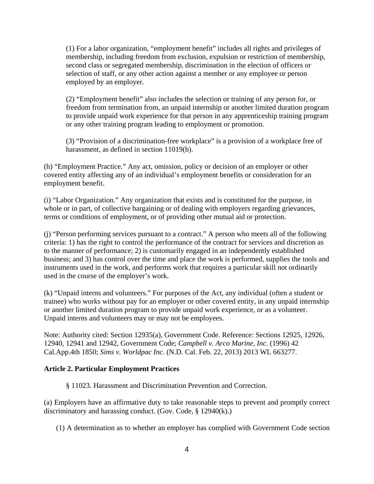(1) For a labor organization, "employment benefit" includes all rights and privileges of membership, including freedom from exclusion, expulsion or restriction of membership, second class or segregated membership, discrimination in the election of officers or selection of staff, or any other action against a member or any employee or person employed by an employer.

(2) "Employment benefit" also includes the selection or training of any person for, or freedom from termination from, an unpaid internship or another limited duration program to provide unpaid work experience for that person in any apprenticeship training program or any other training program leading to employment or promotion.

(3) "Provision of a discrimination-free workplace" is a provision of a workplace free of harassment, as defined in section 11019(b).

(h) "Employment Practice." Any act, omission, policy or decision of an employer or other covered entity affecting any of an individual's employment benefits or consideration for an employment benefit.

(i) "Labor Organization." Any organization that exists and is constituted for the purpose, in whole or in part, of collective bargaining or of dealing with employers regarding grievances, terms or conditions of employment, or of providing other mutual aid or protection.

(j) "Person performing services pursuant to a contract." A person who meets all of the following criteria: 1) has the right to control the performance of the contract for services and discretion as to the manner of performance; 2) is customarily engaged in an independently established business; and 3) has control over the time and place the work is performed, supplies the tools and instruments used in the work, and performs work that requires a particular skill not ordinarily used in the course of the employer's work.

(k) "Unpaid interns and volunteers." For purposes of the Act, any individual (often a student or trainee) who works without pay for an employer or other covered entity, in any unpaid internship or another limited duration program to provide unpaid work experience, or as a volunteer. Unpaid interns and volunteers may or may not be employees.

Note: Authority cited: Section 12935(a), Government Code. Reference: Sections 12925, 12926, 12940, 12941 and 12942, Government Code; *Campbell v. Arco Marine, Inc*. (1996) 42 Cal.App.4th 1850; *Sims v. Worldpac Inc*. (N.D. Cal. Feb. 22, 2013) 2013 WL 663277.

#### **Article 2. Particular Employment Practices**

§ 11023. Harassment and Discrimination Prevention and Correction.

(a) Employers have an affirmative duty to take reasonable steps to prevent and promptly correct discriminatory and harassing conduct. (Gov. Code, § 12940(k).)

(1) A determination as to whether an employer has complied with Government Code section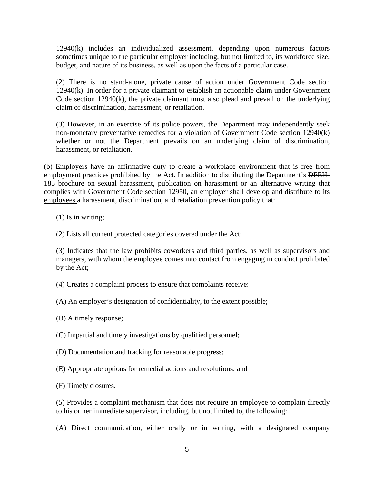12940(k) includes an individualized assessment, depending upon numerous factors sometimes unique to the particular employer including, but not limited to, its workforce size, budget, and nature of its business, as well as upon the facts of a particular case.

(2) There is no stand-alone, private cause of action under Government Code section 12940(k). In order for a private claimant to establish an actionable claim under Government Code section 12940(k), the private claimant must also plead and prevail on the underlying claim of discrimination, harassment, or retaliation.

(3) However, in an exercise of its police powers, the Department may independently seek non-monetary preventative remedies for a violation of Government Code section 12940(k) whether or not the Department prevails on an underlying claim of discrimination, harassment, or retaliation.

(b) Employers have an affirmative duty to create a workplace environment that is free from employment practices prohibited by the Act. In addition to distributing the Department's DFEH-185 brochure on sexual harassment, publication on harassment or an alternative writing that complies with Government Code section 12950, an employer shall develop and distribute to its employees a harassment, discrimination, and retaliation prevention policy that:

(1) Is in writing;

(2) Lists all current protected categories covered under the Act;

(3) Indicates that the law prohibits coworkers and third parties, as well as supervisors and managers, with whom the employee comes into contact from engaging in conduct prohibited by the Act;

(4) Creates a complaint process to ensure that complaints receive:

(A) An employer's designation of confidentiality, to the extent possible;

(B) A timely response;

(C) Impartial and timely investigations by qualified personnel;

(D) Documentation and tracking for reasonable progress;

(E) Appropriate options for remedial actions and resolutions; and

(F) Timely closures.

(5) Provides a complaint mechanism that does not require an employee to complain directly to his or her immediate supervisor, including, but not limited to, the following:

(A) Direct communication, either orally or in writing, with a designated company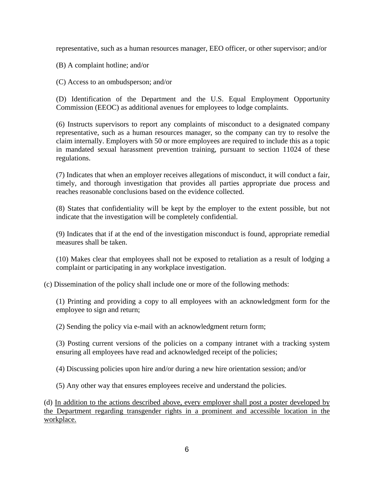representative, such as a human resources manager, EEO officer, or other supervisor; and/or

(B) A complaint hotline; and/or

(C) Access to an ombudsperson; and/or

(D) Identification of the Department and the U.S. Equal Employment Opportunity Commission (EEOC) as additional avenues for employees to lodge complaints.

(6) Instructs supervisors to report any complaints of misconduct to a designated company representative, such as a human resources manager, so the company can try to resolve the claim internally. Employers with 50 or more employees are required to include this as a topic in mandated sexual harassment prevention training, pursuant to section 11024 of these regulations.

(7) Indicates that when an employer receives allegations of misconduct, it will conduct a fair, timely, and thorough investigation that provides all parties appropriate due process and reaches reasonable conclusions based on the evidence collected.

(8) States that confidentiality will be kept by the employer to the extent possible, but not indicate that the investigation will be completely confidential.

(9) Indicates that if at the end of the investigation misconduct is found, appropriate remedial measures shall be taken.

(10) Makes clear that employees shall not be exposed to retaliation as a result of lodging a complaint or participating in any workplace investigation.

(c) Dissemination of the policy shall include one or more of the following methods:

(1) Printing and providing a copy to all employees with an acknowledgment form for the employee to sign and return;

(2) Sending the policy via e-mail with an acknowledgment return form;

(3) Posting current versions of the policies on a company intranet with a tracking system ensuring all employees have read and acknowledged receipt of the policies;

(4) Discussing policies upon hire and/or during a new hire orientation session; and/or

(5) Any other way that ensures employees receive and understand the policies.

(d) In addition to the actions described above, every employer shall post a poster developed by the Department regarding transgender rights in a prominent and accessible location in the workplace.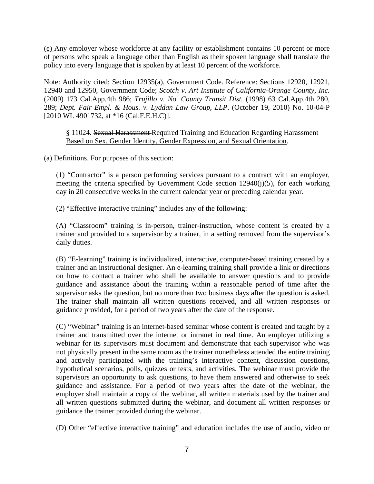(e) Any employer whose workforce at any facility or establishment contains 10 percent or more of persons who speak a language other than English as their spoken language shall translate the policy into every language that is spoken by at least 10 percent of the workforce.

Note: Authority cited: Section 12935(a), Government Code. Reference: Sections 12920, 12921, 12940 and 12950, Government Code; *Scotch v. Art Institute of California-Orange County, Inc.* (2009) 173 Cal.App.4th 986; *Trujillo v. No. County Transit Dist.* (1998) 63 Cal.App.4th 280, 289; *Dept. Fair Empl. & Hous. v. Lyddan Law Group, LLP*. (October 19, 2010) No. 10-04-P [2010 WL 4901732, at \*16 (Cal.F.E.H.C)].

§ 11024. Sexual Harassment Required Training and Education Regarding Harassment Based on Sex, Gender Identity, Gender Expression, and Sexual Orientation.

(a) Definitions. For purposes of this section:

(1) "Contractor" is a person performing services pursuant to a contract with an employer, meeting the criteria specified by Government Code section 12940(j)(5), for each working day in 20 consecutive weeks in the current calendar year or preceding calendar year.

(2) "Effective interactive training" includes any of the following:

(A) "Classroom" training is in-person, trainer-instruction, whose content is created by a trainer and provided to a supervisor by a trainer, in a setting removed from the supervisor's daily duties.

(B) "E-learning" training is individualized, interactive, computer-based training created by a trainer and an instructional designer. An e-learning training shall provide a link or directions on how to contact a trainer who shall be available to answer questions and to provide guidance and assistance about the training within a reasonable period of time after the supervisor asks the question, but no more than two business days after the question is asked. The trainer shall maintain all written questions received, and all written responses or guidance provided, for a period of two years after the date of the response.

(C) "Webinar" training is an internet-based seminar whose content is created and taught by a trainer and transmitted over the internet or intranet in real time. An employer utilizing a webinar for its supervisors must document and demonstrate that each supervisor who was not physically present in the same room as the trainer nonetheless attended the entire training and actively participated with the training's interactive content, discussion questions, hypothetical scenarios, polls, quizzes or tests, and activities. The webinar must provide the supervisors an opportunity to ask questions, to have them answered and otherwise to seek guidance and assistance. For a period of two years after the date of the webinar, the employer shall maintain a copy of the webinar, all written materials used by the trainer and all written questions submitted during the webinar, and document all written responses or guidance the trainer provided during the webinar.

(D) Other "effective interactive training" and education includes the use of audio, video or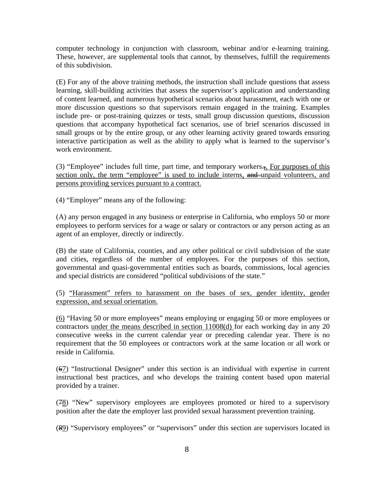computer technology in conjunction with classroom, webinar and/or e-learning training. These, however, are supplemental tools that cannot, by themselves, fulfill the requirements of this subdivision.

(E) For any of the above training methods, the instruction shall include questions that assess learning, skill-building activities that assess the supervisor's application and understanding of content learned, and numerous hypothetical scenarios about harassment, each with one or more discussion questions so that supervisors remain engaged in the training. Examples include pre- or post-training quizzes or tests, small group discussion questions, discussion questions that accompany hypothetical fact scenarios, use of brief scenarios discussed in small groups or by the entire group, or any other learning activity geared towards ensuring interactive participation as well as the ability to apply what is learned to the supervisor's work environment.

(3) "Employee" includes full time, part time, and temporary workers $\overline{z}$ . For purposes of this section only, the term "employee" is used to include interns, and unpaid volunteers, and persons providing services pursuant to a contract.

(4) "Employer" means any of the following:

(A) any person engaged in any business or enterprise in California, who employs 50 or more employees to perform services for a wage or salary or contractors or any person acting as an agent of an employer, directly or indirectly.

(B) the state of California, counties, and any other political or civil subdivision of the state and cities, regardless of the number of employees. For the purposes of this section, governmental and quasi-governmental entities such as boards, commissions, local agencies and special districts are considered "political subdivisions of the state."

(5) "Harassment" refers to harassment on the bases of sex, gender identity, gender expression, and sexual orientation.

(6) "Having 50 or more employees" means employing or engaging 50 or more employees or contractors under the means described in section 11008(d) for each working day in any 20 consecutive weeks in the current calendar year or preceding calendar year. There is no requirement that the 50 employees or contractors work at the same location or all work or reside in California.

(67) "Instructional Designer" under this section is an individual with expertise in current instructional best practices, and who develops the training content based upon material provided by a trainer.

(78) "New" supervisory employees are employees promoted or hired to a supervisory position after the date the employer last provided sexual harassment prevention training.

(89) "Supervisory employees" or "supervisors" under this section are supervisors located in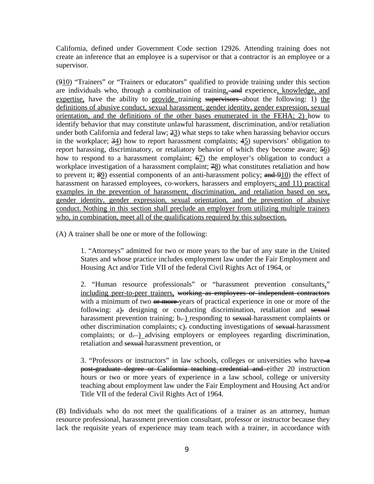California, defined under Government Code section 12926. Attending training does not create an inference that an employee is a supervisor or that a contractor is an employee or a supervisor.

(910) "Trainers" or "Trainers or educators" qualified to provide training under this section are individuals who, through a combination of training, and experience, knowledge, and expertise, have the ability to provide training supervisors about the following: 1) the definitions of abusive conduct, sexual harassment, gender identity, gender expression, sexual orientation, and the definitions of the other bases enumerated in the FEHA; 2) how to identify behavior that may constitute unlawful harassment, discrimination, and/or retaliation under both California and federal law;  $\frac{23}{2}$  what steps to take when harassing behavior occurs in the workplace;  $\frac{34}{2}$  how to report harassment complaints;  $\frac{45}{2}$  supervisors' obligation to report harassing, discriminatory, or retaliatory behavior of which they become aware;  $\frac{56}{2}$ how to respond to a harassment complaint;  $\frac{67}{2}$  the employer's obligation to conduct a workplace investigation of a harassment complaint;  $\frac{48}{3}$  what constitutes retaliation and how to prevent it;  $\frac{1}{2}$ ) essential components of an anti-harassment policy; and  $\frac{1}{2}$ ) the effect of harassment on harassed employees, co-workers, harassers and employers; and 11) practical examples in the prevention of harassment, discrimination, and retaliation based on sex, gender identity, gender expression, sexual orientation, and the prevention of abusive conduct. Nothing in this section shall preclude an employer from utilizing multiple trainers who, in combination, meet all of the qualifications required by this subsection.

(A) A trainer shall be one or more of the following:

1. "Attorneys" admitted for two or more years to the bar of any state in the United States and whose practice includes employment law under the Fair Employment and Housing Act and/or Title VII of the federal Civil Rights Act of 1964, or

2. "Human resource professionals" or "harassment prevention consultants," including peer-to-peer trainers, working as employees or independent contractors with a minimum of two  $\theta$  more-years of practical experience in one or more of the following: a). designing or conducting discrimination, retaliation and sexual harassment prevention training;  $b$ . ) responding to sexual harassment complaints or other discrimination complaints; c). conducting investigations of sexual harassment complaints; or d--) advising employers or employees regarding discrimination, retaliation and sexual harassment prevention, or

3. "Professors or instructors" in law schools, colleges or universities who have  $\rightarrow$ post-graduate degree or California teaching credential and either 20 instruction hours or two or more years of experience in a law school, college or university teaching about employment law under the Fair Employment and Housing Act and/or Title VII of the federal Civil Rights Act of 1964.

(B) Individuals who do not meet the qualifications of a trainer as an attorney, human resource professional, harassment prevention consultant, professor or instructor because they lack the requisite years of experience may team teach with a trainer, in accordance with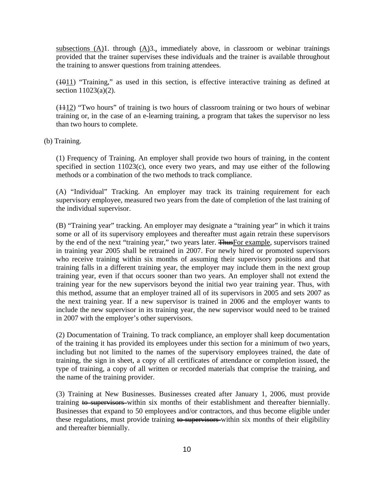subsections  $(A)$ 1. through  $(A)$ 3., immediately above, in classroom or webinar trainings provided that the trainer supervises these individuals and the trainer is available throughout the training to answer questions from training attendees.

 $(1011)$  "Training," as used in this section, is effective interactive training as defined at section 11023(a)(2).

(1112) "Two hours" of training is two hours of classroom training or two hours of webinar training or, in the case of an e-learning training, a program that takes the supervisor no less than two hours to complete.

(b) Training.

(1) Frequency of Training. An employer shall provide two hours of training, in the content specified in section 11023(c), once every two years, and may use either of the following methods or a combination of the two methods to track compliance.

(A) "Individual" Tracking. An employer may track its training requirement for each supervisory employee, measured two years from the date of completion of the last training of the individual supervisor.

(B) "Training year" tracking. An employer may designate a "training year" in which it trains some or all of its supervisory employees and thereafter must again retrain these supervisors by the end of the next "training year," two years later. Thus For example, supervisors trained in training year 2005 shall be retrained in 2007. For newly hired or promoted supervisors who receive training within six months of assuming their supervisory positions and that training falls in a different training year, the employer may include them in the next group training year, even if that occurs sooner than two years. An employer shall not extend the training year for the new supervisors beyond the initial two year training year. Thus, with this method, assume that an employer trained all of its supervisors in 2005 and sets 2007 as the next training year. If a new supervisor is trained in 2006 and the employer wants to include the new supervisor in its training year, the new supervisor would need to be trained in 2007 with the employer's other supervisors.

(2) Documentation of Training. To track compliance, an employer shall keep documentation of the training it has provided its employees under this section for a minimum of two years, including but not limited to the names of the supervisory employees trained, the date of training, the sign in sheet, a copy of all certificates of attendance or completion issued, the type of training, a copy of all written or recorded materials that comprise the training, and the name of the training provider.

(3) Training at New Businesses. Businesses created after January 1, 2006, must provide training to supervisors within six months of their establishment and thereafter biennially. Businesses that expand to 50 employees and/or contractors, and thus become eligible under these regulations, must provide training  $\leftrightarrow$  supervisors within six months of their eligibility and thereafter biennially.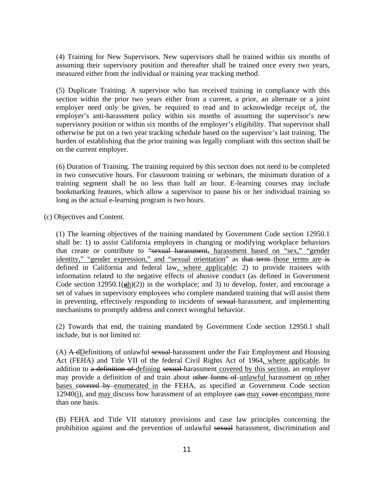(4) Training for New Supervisors. New supervisors shall be trained within six months of assuming their supervisory position and thereafter shall be trained once every two years, measured either from the individual or training year tracking method.

(5) Duplicate Training. A supervisor who has received training in compliance with this section within the prior two years either from a current, a prior, an alternate or a joint employer need only be given, be required to read and to acknowledge receipt of, the employer's anti-harassment policy within six months of assuming the supervisor's new supervisory position or within six months of the employer's eligibility. That supervisor shall otherwise be put on a two year tracking schedule based on the supervisor's last training. The burden of establishing that the prior training was legally compliant with this section shall be on the current employer.

(6) Duration of Training. The training required by this section does not need to be completed in two consecutive hours. For classroom training or webinars, the minimum duration of a training segment shall be no less than half an hour. E-learning courses may include bookmarking features, which allow a supervisor to pause his or her individual training so long as the actual e-learning program is two hours.

(c) Objectives and Content.

(1) The learning objectives of the training mandated by Government Code section 12950.1 shall be: 1) to assist California employers in changing or modifying workplace behaviors that create or contribute to "sexual harassment, harassment based on "sex," "gender identity," "gender expression," and "sexual orientation" as that term those terms are is defined in California and federal law, where applicable; 2) to provide trainees with information related to the negative effects of abusive conduct (as defined in Government Code section  $12950.1(\frac{eh}{2})$  in the workplace; and 3) to develop, foster, and encourage a set of values in supervisory employees who complete mandated training that will assist them in preventing, effectively responding to incidents of sexual harassment, and implementing mechanisms to promptly address and correct wrongful behavior.

(2) Towards that end, the training mandated by Government Code section 12950.1 shall include, but is not limited to:

 $(A)$  A dDefinitions of unlawful sexual harassment under the Fair Employment and Housing Act (FEHA) and Title VII of the federal Civil Rights Act of 1964, where applicable. In addition to a definition of defining sexual harassment covered by this section, an employer may provide a definition of and train about other forms of unlawful harassment on other bases covered by enumerated in the FEHA, as specified at Government Code section 12940(j), and may discuss how harassment of an employee can may cover encompass more than one basis.

(B) FEHA and Title VII statutory provisions and case law principles concerning the prohibition against and the prevention of unlawful sexual harassment, discrimination and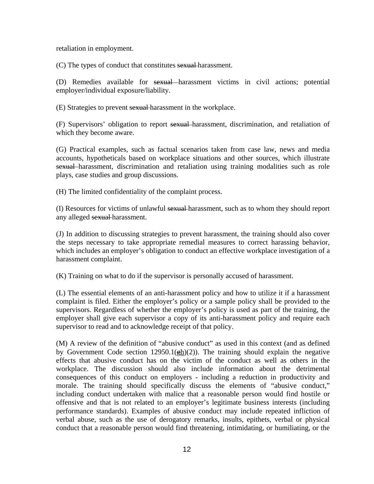retaliation in employment.

(C) The types of conduct that constitutes sexual harassment.

(D) Remedies available for sexual harassment victims in civil actions; potential employer/individual exposure/liability.

(E) Strategies to prevent sexual harassment in the workplace.

(F) Supervisors' obligation to report sexual harassment, discrimination, and retaliation of which they become aware.

(G) Practical examples, such as factual scenarios taken from case law, news and media accounts, hypotheticals based on workplace situations and other sources, which illustrate sexual harassment, discrimination and retaliation using training modalities such as role plays, case studies and group discussions.

(H) The limited confidentiality of the complaint process.

(I) Resources for victims of unlawful sexual harassment, such as to whom they should report any alleged sexual harassment.

(J) In addition to discussing strategies to prevent harassment, the training should also cover the steps necessary to take appropriate remedial measures to correct harassing behavior, which includes an employer's obligation to conduct an effective workplace investigation of a harassment complaint.

(K) Training on what to do if the supervisor is personally accused of harassment.

(L) The essential elements of an anti-harassment policy and how to utilize it if a harassment complaint is filed. Either the employer's policy or a sample policy shall be provided to the supervisors. Regardless of whether the employer's policy is used as part of the training, the employer shall give each supervisor a copy of its anti-harassment policy and require each supervisor to read and to acknowledge receipt of that policy.

(M) A review of the definition of "abusive conduct" as used in this context (and as defined by Government Code section 12950.1( $\frac{eh}{(2)}$ ). The training should explain the negative effects that abusive conduct has on the victim of the conduct as well as others in the workplace. The discussion should also include information about the detrimental consequences of this conduct on employers - including a reduction in productivity and morale. The training should specifically discuss the elements of "abusive conduct," including conduct undertaken with malice that a reasonable person would find hostile or offensive and that is not related to an employer's legitimate business interests (including performance standards). Examples of abusive conduct may include repeated infliction of verbal abuse, such as the use of derogatory remarks, insults, epithets, verbal or physical conduct that a reasonable person would find threatening, intimidating, or humiliating, or the